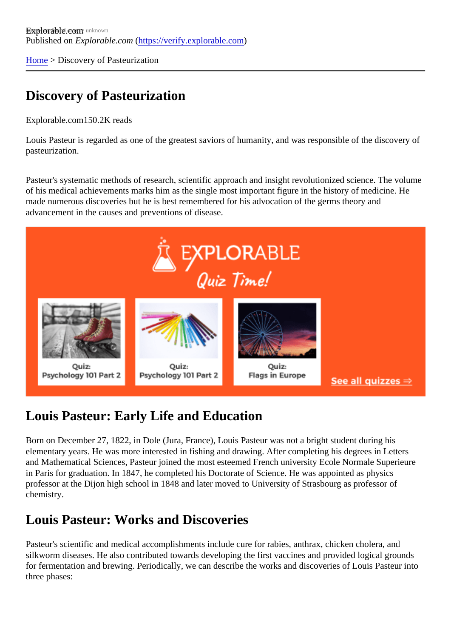[Home](https://verify.explorable.com/) > Discovery of Pasteurization

### Discovery of Pasteurization

Explorable.com 50.2K reads

Louis Pasteur is regarded as one of the greatest saviors of humanity, and was responsible of the discover pasteurization.

Pasteur's systematic methods of research, scientific approach and insight revolutionized science. The volument of his medical achievements marks him as the single most important figure in the history of medicine. He made numerous discoveries but he is best remembered for his advocation of the germs theory and advancement in the causes and preventions of disease.

# Louis Pasteur: Early Life and Education

Born on December 27, 1822, in Dole (Jura, France), Louis Pasteur was not a bright student during his elementary years. He was more interested in fishing and drawing. After completing his degrees in Letters and Mathematical Sciences, Pasteur joined the most esteemed French university Ecole Normale Superieure in Paris for graduation. In 1847, he completed his Doctorate of Science. He was appointed as physics professor at the Dijon high school in 1848 and later moved to University of Strasbourg as professor of chemistry.

## Louis Pasteur: Works and Discoveries

Pasteur's scientific and medical accomplishments include cure for rabies, anthrax, chicken cholera, and silkworm diseases. He also contributed towards developing the first vaccines and provided logical grounds for fermentation and brewing. Periodically, we can describe the works and discoveries of Louis Pasteur into three phases: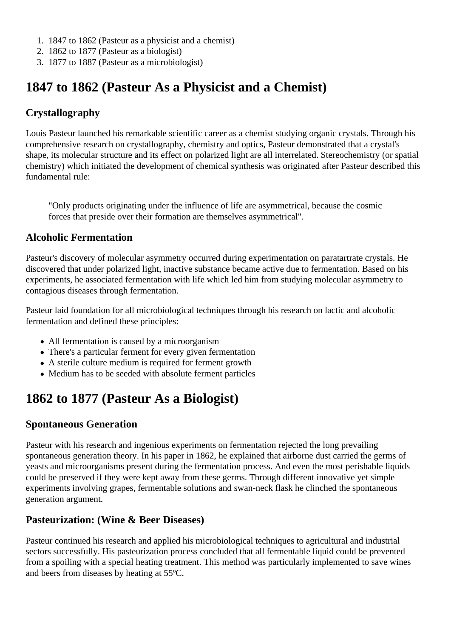- 1. 1847 to 1862 (Pasteur as a physicist and a chemist)
- 2. 1862 to 1877 (Pasteur as a biologist)
- 3. 1877 to 1887 (Pasteur as a microbiologist)

## **1847 to 1862 (Pasteur As a Physicist and a Chemist)**

### **Crystallography**

Louis Pasteur launched his remarkable scientific career as a chemist studying organic crystals. Through his comprehensive research on crystallography, chemistry and optics, Pasteur demonstrated that a crystal's shape, its molecular structure and its effect on polarized light are all interrelated. Stereochemistry (or spatial chemistry) which initiated the development of chemical synthesis was originated after Pasteur described this fundamental rule:

"Only products originating under the influence of life are asymmetrical, because the cosmic forces that preside over their formation are themselves asymmetrical".

#### **Alcoholic Fermentation**

Pasteur's discovery of molecular asymmetry occurred during experimentation on paratartrate crystals. He discovered that under polarized light, inactive substance became active due to fermentation. Based on his experiments, he associated fermentation with life which led him from studying molecular asymmetry to contagious diseases through fermentation.

Pasteur laid foundation for all microbiological techniques through his research on lactic and alcoholic fermentation and defined these principles:

- All fermentation is caused by a microorganism
- There's a particular ferment for every given fermentation
- A sterile culture medium is required for ferment growth
- Medium has to be seeded with absolute ferment particles

# **1862 to 1877 (Pasteur As a Biologist)**

#### **Spontaneous Generation**

Pasteur with his research and ingenious experiments on fermentation rejected the long prevailing spontaneous generation theory. In his paper in 1862, he explained that airborne dust carried the germs of yeasts and microorganisms present during the fermentation process. And even the most perishable liquids could be preserved if they were kept away from these germs. Through different innovative yet simple experiments involving grapes, fermentable solutions and swan-neck flask he clinched the spontaneous generation argument.

#### **Pasteurization: (Wine & Beer Diseases)**

Pasteur continued his research and applied his microbiological techniques to agricultural and industrial sectors successfully. His pasteurization process concluded that all fermentable liquid could be prevented from a spoiling with a special heating treatment. This method was particularly implemented to save wines and beers from diseases by heating at 55ºC.